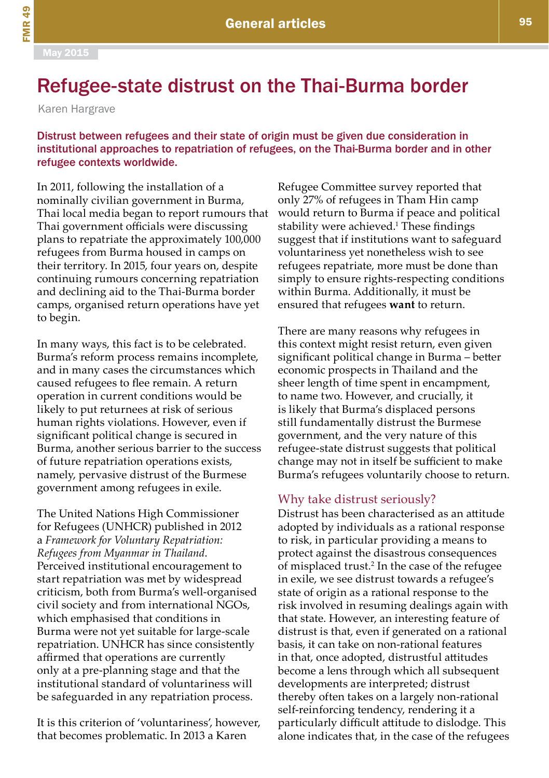# Refugee-state distrust on the Thai-Burma border

Karen Hargrave

Distrust between refugees and their state of origin must be given due consideration in institutional approaches to repatriation of refugees, on the Thai-Burma border and in other refugee contexts worldwide.

In 2011, following the installation of a nominally civilian government in Burma, Thai local media began to report rumours that Thai government officials were discussing plans to repatriate the approximately 100,000 refugees from Burma housed in camps on their territory. In 2015, four years on, despite continuing rumours concerning repatriation and declining aid to the Thai-Burma border camps, organised return operations have yet to begin.

In many ways, this fact is to be celebrated. Burma's reform process remains incomplete, and in many cases the circumstances which caused refugees to flee remain. A return operation in current conditions would be likely to put returnees at risk of serious human rights violations. However, even if significant political change is secured in Burma, another serious barrier to the success of future repatriation operations exists, namely, pervasive distrust of the Burmese government among refugees in exile.

The United Nations High Commissioner for Refugees (UNHCR) published in 2012 a *Framework for Voluntary Repatriation: Refugees from Myanmar in Thailand*. Perceived institutional encouragement to start repatriation was met by widespread criticism, both from Burma's well-organised civil society and from international NGOs, which emphasised that conditions in Burma were not yet suitable for large-scale repatriation. UNHCR has since consistently affirmed that operations are currently only at a pre-planning stage and that the institutional standard of voluntariness will be safeguarded in any repatriation process.

It is this criterion of 'voluntariness', however, that becomes problematic. In 2013 a Karen

Refugee Committee survey reported that only 27% of refugees in Tham Hin camp would return to Burma if peace and political stability were achieved.<sup>1</sup> These findings suggest that if institutions want to safeguard voluntariness yet nonetheless wish to see refugees repatriate, more must be done than simply to ensure rights-respecting conditions within Burma. Additionally, it must be ensured that refugees **want** to return.

There are many reasons why refugees in this context might resist return, even given significant political change in Burma – better economic prospects in Thailand and the sheer length of time spent in encampment, to name two. However, and crucially, it is likely that Burma's displaced persons still fundamentally distrust the Burmese government, and the very nature of this refugee-state distrust suggests that political change may not in itself be sufficient to make Burma's refugees voluntarily choose to return.

## Why take distrust seriously?

Distrust has been characterised as an attitude adopted by individuals as a rational response to risk, in particular providing a means to protect against the disastrous consequences of misplaced trust.<sup>2</sup> In the case of the refugee in exile, we see distrust towards a refugee's state of origin as a rational response to the risk involved in resuming dealings again with that state. However, an interesting feature of distrust is that, even if generated on a rational basis, it can take on non-rational features in that, once adopted, distrustful attitudes become a lens through which all subsequent developments are interpreted; distrust thereby often takes on a largely non-rational self-reinforcing tendency, rendering it a particularly difficult attitude to dislodge. This alone indicates that, in the case of the refugees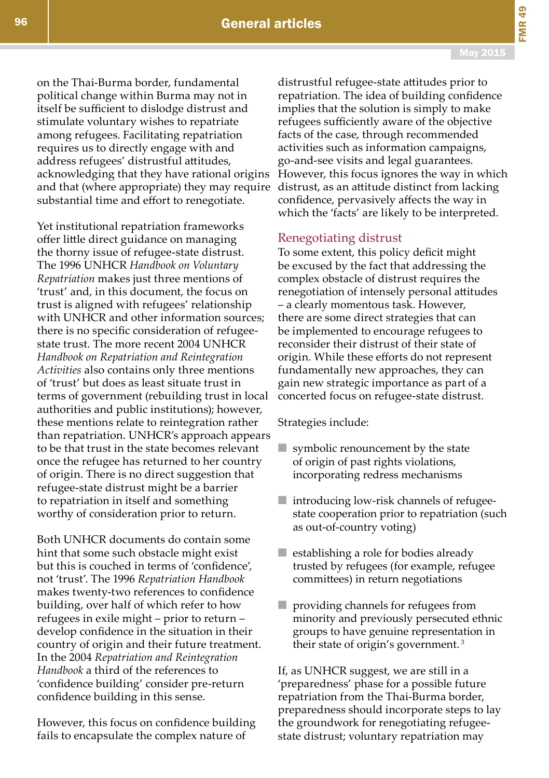FMR 49

on the Thai-Burma border, fundamental political change within Burma may not in itself be sufficient to dislodge distrust and stimulate voluntary wishes to repatriate among refugees. Facilitating repatriation requires us to directly engage with and address refugees' distrustful attitudes, acknowledging that they have rational origins and that (where appropriate) they may require substantial time and effort to renegotiate.

Yet institutional repatriation frameworks offer little direct guidance on managing the thorny issue of refugee-state distrust. The 1996 UNHCR *Handbook on Voluntary Repatriation* makes just three mentions of 'trust' and, in this document, the focus on trust is aligned with refugees' relationship with UNHCR and other information sources; there is no specific consideration of refugeestate trust. The more recent 2004 UNHCR *Handbook on Repatriation and Reintegration Activities* also contains only three mentions of 'trust' but does as least situate trust in terms of government (rebuilding trust in local authorities and public institutions); however, these mentions relate to reintegration rather than repatriation. UNHCR's approach appears to be that trust in the state becomes relevant once the refugee has returned to her country of origin. There is no direct suggestion that refugee-state distrust might be a barrier to repatriation in itself and something worthy of consideration prior to return.

Both UNHCR documents do contain some hint that some such obstacle might exist but this is couched in terms of 'confidence', not 'trust'. The 1996 *Repatriation Handbook* makes twenty-two references to confidence building, over half of which refer to how refugees in exile might – prior to return – develop confidence in the situation in their country of origin and their future treatment. In the 2004 *Repatriation and Reintegration Handbook* a third of the references to 'confidence building' consider pre-return confidence building in this sense.

However, this focus on confidence building fails to encapsulate the complex nature of

distrustful refugee-state attitudes prior to repatriation. The idea of building confidence implies that the solution is simply to make refugees sufficiently aware of the objective facts of the case, through recommended activities such as information campaigns, go-and-see visits and legal guarantees. However, this focus ignores the way in which distrust, as an attitude distinct from lacking confidence, pervasively affects the way in which the 'facts' are likely to be interpreted.

### Renegotiating distrust

To some extent, this policy deficit might be excused by the fact that addressing the complex obstacle of distrust requires the renegotiation of intensely personal attitudes – a clearly momentous task. However, there are some direct strategies that can be implemented to encourage refugees to reconsider their distrust of their state of origin. While these efforts do not represent fundamentally new approaches, they can gain new strategic importance as part of a concerted focus on refugee-state distrust.

Strategies include:

- $\blacksquare$  symbolic renouncement by the state of origin of past rights violations, incorporating redress mechanisms
- introducing low-risk channels of refugeestate cooperation prior to repatriation (such as out-of-country voting)
- establishing a role for bodies already trusted by refugees (for example, refugee committees) in return negotiations
- providing channels for refugees from minority and previously persecuted ethnic groups to have genuine representation in their state of origin's government. 3

If, as UNHCR suggest, we are still in a 'preparedness' phase for a possible future repatriation from the Thai-Burma border, preparedness should incorporate steps to lay the groundwork for renegotiating refugeestate distrust; voluntary repatriation may